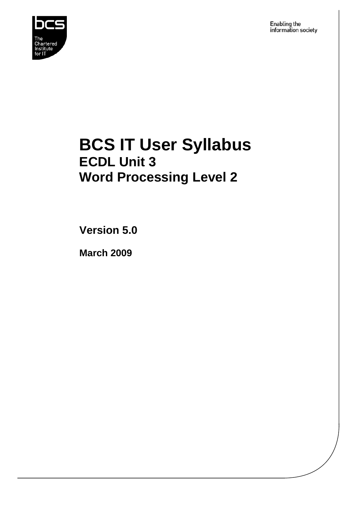

Enabling the information society

## **BCS IT User Syllabus ECDL Unit 3 Word Processing Level 2**

**Version 5.0** 

**March 2009**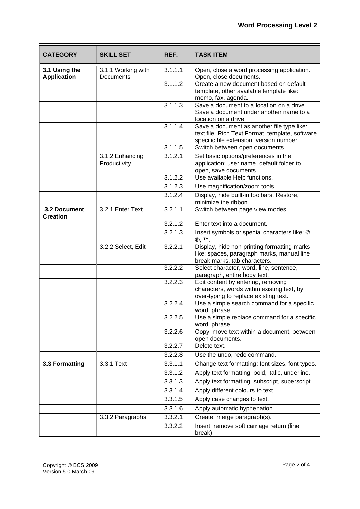| <b>CATEGORY</b>                     | <b>SKILL SET</b>                | REF.    | <b>TASK ITEM</b>                                                                                                                          |
|-------------------------------------|---------------------------------|---------|-------------------------------------------------------------------------------------------------------------------------------------------|
| 3.1 Using the<br><b>Application</b> | 3.1.1 Working with<br>Documents | 3.1.1.1 | Open, close a word processing application.<br>Open, close documents.                                                                      |
|                                     |                                 | 3.1.1.2 | Create a new document based on default<br>template, other available template like:<br>memo, fax, agenda.                                  |
|                                     |                                 | 3.1.1.3 | Save a document to a location on a drive.<br>Save a document under another name to a<br>location on a drive.                              |
|                                     |                                 | 3.1.1.4 | Save a document as another file type like:<br>text file, Rich Text Format, template, software<br>specific file extension, version number. |
|                                     |                                 | 3.1.1.5 | Switch between open documents.                                                                                                            |
|                                     | 3.1.2 Enhancing<br>Productivity | 3.1.2.1 | Set basic options/preferences in the<br>application: user name, default folder to<br>open, save documents.                                |
|                                     |                                 | 3.1.2.2 | Use available Help functions.                                                                                                             |
|                                     |                                 | 3.1.2.3 | Use magnification/zoom tools.                                                                                                             |
|                                     |                                 | 3.1.2.4 | Display, hide built-in toolbars. Restore,<br>minimize the ribbon.                                                                         |
| 3.2 Document<br><b>Creation</b>     | 3.2.1 Enter Text                | 3.2.1.1 | Switch between page view modes.                                                                                                           |
|                                     |                                 | 3.2.1.2 | Enter text into a document.                                                                                                               |
|                                     |                                 | 3.2.1.3 | Insert symbols or special characters like: ©,<br>®, ™.                                                                                    |
|                                     | 3.2.2 Select, Edit              | 3.2.2.1 | Display, hide non-printing formatting marks<br>like: spaces, paragraph marks, manual line<br>break marks, tab characters.                 |
|                                     |                                 | 3.2.2.2 | Select character, word, line, sentence,<br>paragraph, entire body text.                                                                   |
|                                     |                                 | 3.2.2.3 | Edit content by entering, removing<br>characters, words within existing text, by<br>over-typing to replace existing text.                 |
|                                     |                                 | 3.2.2.4 | Use a simple search command for a specific<br>word, phrase.                                                                               |
|                                     |                                 | 3.2.2.5 | Use a simple replace command for a specific<br>word, phrase.                                                                              |
|                                     |                                 | 3.2.2.6 | Copy, move text within a document, between<br>open documents.                                                                             |
|                                     |                                 | 3.2.2.7 | Delete text.                                                                                                                              |
|                                     |                                 | 3.2.2.8 | Use the undo, redo command.                                                                                                               |
| 3.3 Formatting                      | 3.3.1 Text                      | 3.3.1.1 | Change text formatting: font sizes, font types.                                                                                           |
|                                     |                                 | 3.3.1.2 | Apply text formatting: bold, italic, underline.                                                                                           |
|                                     |                                 | 3.3.1.3 | Apply text formatting: subscript, superscript.                                                                                            |
|                                     |                                 | 3.3.1.4 | Apply different colours to text.                                                                                                          |
|                                     |                                 | 3.3.1.5 | Apply case changes to text.                                                                                                               |
|                                     |                                 | 3.3.1.6 | Apply automatic hyphenation.                                                                                                              |
|                                     | 3.3.2 Paragraphs                | 3.3.2.1 | Create, merge paragraph(s).                                                                                                               |
|                                     |                                 | 3.3.2.2 | Insert, remove soft carriage return (line<br>break).                                                                                      |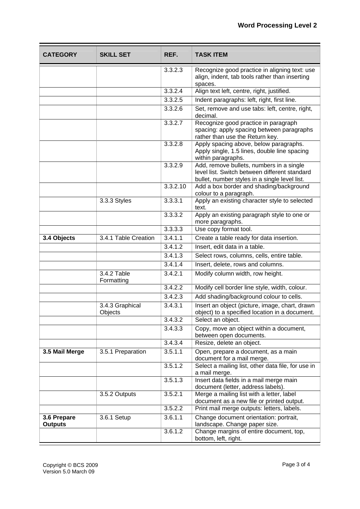| <b>CATEGORY</b>               | <b>SKILL SET</b>           | REF.     | <b>TASK ITEM</b>                                                                                                                           |
|-------------------------------|----------------------------|----------|--------------------------------------------------------------------------------------------------------------------------------------------|
|                               |                            | 3.3.2.3  | Recognize good practice in aligning text: use<br>align, indent, tab tools rather than inserting<br>spaces.                                 |
|                               |                            | 3.3.2.4  | Align text left, centre, right, justified.                                                                                                 |
|                               |                            | 3.3.2.5  | Indent paragraphs: left, right, first line.                                                                                                |
|                               |                            | 3.3.2.6  | Set, remove and use tabs: left, centre, right,<br>decimal.                                                                                 |
|                               |                            | 3.3.2.7  | Recognize good practice in paragraph<br>spacing: apply spacing between paragraphs<br>rather than use the Return key.                       |
|                               |                            | 3.3.2.8  | Apply spacing above, below paragraphs.<br>Apply single, 1.5 lines, double line spacing<br>within paragraphs.                               |
|                               |                            | 3.3.2.9  | Add, remove bullets, numbers in a single<br>level list. Switch between different standard<br>bullet, number styles in a single level list. |
|                               |                            | 3.3.2.10 | Add a box border and shading/background<br>colour to a paragraph.                                                                          |
|                               | 3.3.3 Styles               | 3.3.3.1  | Apply an existing character style to selected<br>text.                                                                                     |
|                               |                            | 3.3.3.2  | Apply an existing paragraph style to one or<br>more paragraphs.                                                                            |
|                               |                            | 3.3.3.3  | Use copy format tool.                                                                                                                      |
| 3.4 Objects                   | 3.4.1 Table Creation       | 3.4.1.1  | Create a table ready for data insertion.                                                                                                   |
|                               |                            | 3.4.1.2  | Insert, edit data in a table.                                                                                                              |
|                               |                            | 3.4.1.3  | Select rows, columns, cells, entire table.                                                                                                 |
|                               |                            | 3.4.1.4  | Insert, delete, rows and columns.                                                                                                          |
|                               | 3.4.2 Table<br>Formatting  | 3.4.2.1  | Modify column width, row height.                                                                                                           |
|                               |                            | 3.4.2.2  | Modify cell border line style, width, colour.                                                                                              |
|                               |                            | 3.4.2.3  | Add shading/background colour to cells.                                                                                                    |
|                               | 3.4.3 Graphical<br>Objects | 3.4.3.1  | Insert an object (picture, image, chart, drawn<br>object) to a specified location in a document.                                           |
|                               |                            | 3.4.3.2  | Select an object.                                                                                                                          |
|                               |                            | 3.4.3.3  | Copy, move an object within a document,<br>between open documents.                                                                         |
|                               |                            | 3.4.3.4  | Resize, delete an object.                                                                                                                  |
| 3.5 Mail Merge                | 3.5.1 Preparation          | 3.5.1.1  | Open, prepare a document, as a main<br>document for a mail merge.                                                                          |
|                               |                            | 3.5.1.2  | Select a mailing list, other data file, for use in<br>a mail merge.                                                                        |
|                               |                            | 3.5.1.3  | Insert data fields in a mail merge main<br>document (letter, address labels).                                                              |
|                               | 3.5.2 Outputs              | 3.5.2.1  | Merge a mailing list with a letter, label<br>document as a new file or printed output.                                                     |
|                               |                            | 3.5.2.2  | Print mail merge outputs: letters, labels.                                                                                                 |
| 3.6 Prepare<br><b>Outputs</b> | 3.6.1 Setup                | 3.6.1.1  | Change document orientation: portrait,<br>landscape. Change paper size.                                                                    |
|                               |                            | 3.6.1.2  | Change margins of entire document, top,<br>bottom, left, right.                                                                            |